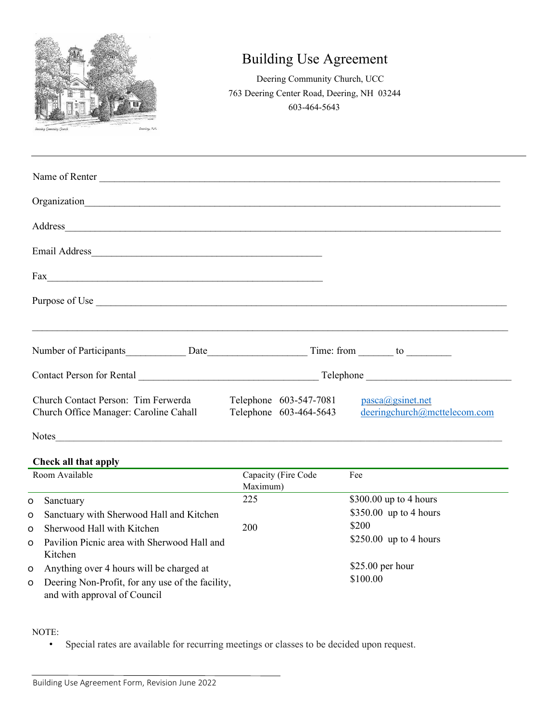

## Building Use Agreement

Deering Community Church, UCC 763 Deering Center Road, Deering, NH 03244 603-464-5643

| Name of Renter                                                                                                                                                                                                                            |                                             |                                                     |
|-------------------------------------------------------------------------------------------------------------------------------------------------------------------------------------------------------------------------------------------|---------------------------------------------|-----------------------------------------------------|
|                                                                                                                                                                                                                                           |                                             |                                                     |
|                                                                                                                                                                                                                                           |                                             |                                                     |
|                                                                                                                                                                                                                                           |                                             |                                                     |
|                                                                                                                                                                                                                                           |                                             |                                                     |
|                                                                                                                                                                                                                                           |                                             |                                                     |
| Number of Participants <b>Example 2018</b> Date <b>Contract Contract Contract Contract Contract Contract Contract Contract Contract Contract Contract Contract Contract Contract Contract Contract Contract Contract Contract Contrac</b> |                                             |                                                     |
|                                                                                                                                                                                                                                           |                                             |                                                     |
| Church Contact Person: Tim Ferwerda<br>Church Office Manager: Caroline Cahall                                                                                                                                                             | Telephone $603-547-7081$ $pasca@gsinet.net$ | Telephone 603-464-5643 deeringchurch@mcttelecom.com |
| <b>Notes</b>                                                                                                                                                                                                                              |                                             |                                                     |

## **Check all that apply**

| Room Available |                                                  | Capacity (Fire Code | Fee                              |
|----------------|--------------------------------------------------|---------------------|----------------------------------|
|                |                                                  | Maximum)            |                                  |
| $\circ$        | Sanctuary                                        | 225                 | $$300.00$ up to 4 hours          |
| $\circ$        | Sanctuary with Sherwood Hall and Kitchen         |                     | $$350.00$ up to 4 hours          |
| $\Omega$       | Sherwood Hall with Kitchen                       | <b>200</b>          | \$200<br>$$250.00$ up to 4 hours |
| $\Omega$       | Pavilion Picnic area with Sherwood Hall and      |                     |                                  |
|                | Kitchen                                          |                     |                                  |
| $\circ$        | Anything over 4 hours will be charged at         |                     | $$25.00$ per hour                |
| $\circ$        | Deering Non-Profit, for any use of the facility, |                     | \$100.00                         |
|                | and with approval of Council                     |                     |                                  |

## NOTE:

• Special rates are available for recurring meetings or classes to be decided upon request.